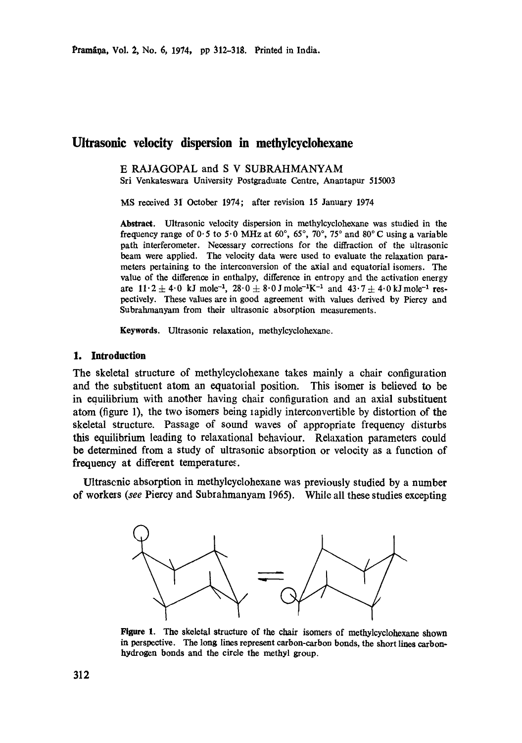# **Ultrasonic velocity dispersion in methylcyclohexane**

E RAJAGOPAL and S V SUBRAHMANYAM Sri Venkateswara University Postgraduate Centre, Anantapur 515003

MS received 31 October 1974; after revision 15 January 1974

**Abstract.** Ultrasonic velocity dispersion in methylcyclohexane was studied in the frequency range of 0.5 to 5.0 MHz at 60°, 65°, 70°, 75° and 80°C using a variable path interferometer. Necessary corrections for the diffraction of the ultrasonic beam were applied. The velocity data were used to evaluate the relaxation parameters pertaining to the interconversion of the axial and equatorial isomers. The value of the difference in enthalpy, difference in entropy and the activation energy are  $11 \cdot 2 \pm 4 \cdot 0$  kJ mole<sup>-1</sup>,  $28 \cdot 0 \pm 8 \cdot 0$  J mole<sup>-1</sup>K<sup>-1</sup> and  $43 \cdot 7 \pm 4 \cdot 0$  kJ mole<sup>-1</sup> respectively. These values are in good agreement with values derived by Piercy and Subrahmanyam from their ultrasonic absorption measurements.

**Keywords.** Ultrasonic relaxation, methylcyclohexane.

## **1. Introduction**

The skeletal structure of methylcyclohexane takes mainly a chair configuration and the substituent atom an equatorial position. This isomer is believed to be in equilibrium with another having chair configuration and an axial substituent atom (figure 1), the two isomers being lapidly interconvertible by distortion of the skeletal structure. Passage of sound waves of appropriate frequency disturbs this equilibrium leading to relaxational behaviour. Relaxation parameters could be determined from a study of ultrasonic absorption or velocity as a function of frequency at different temperatures.

Ultrascnic absorption in methylcyelohexane was previously studied by a number of workers *(see* Piercy and Subrahmanyam 1965). While all these studies excepting



Figure 1. The skeletal structure of the chair isomers of methylcyclohexane **shown in** perspective. The long lines represent carbon-carbon bonds, the short lines carbonhydrogen bonds and the circle the methyl group.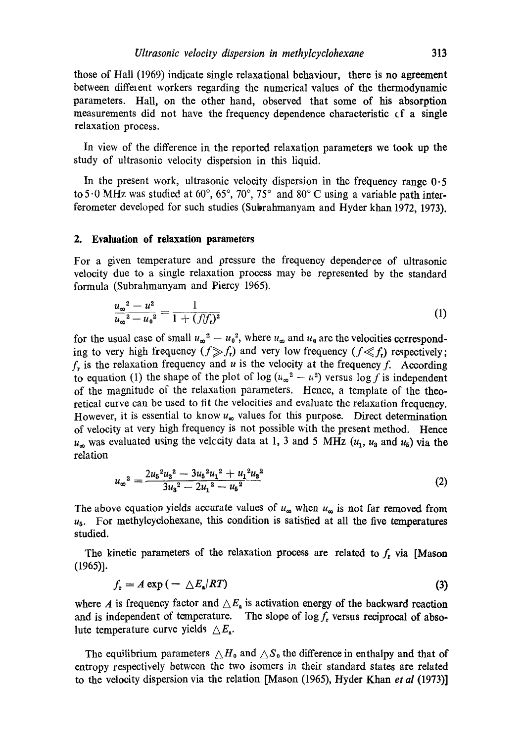those of Hall (1969) indicate single relaxational behaviour, there is no **agreement**  between diffelent workers regarding the numerical values of the thermodynamic parameters. Hall, on the other hand, observed that some of his absorption measurements did not have the frequency dependence characteristic cf a single relaxation process.

In view of the difference in the reported relaxation parameters we took up the study of ultrasonic velocity dispersion in this liquid.

In the present work, ultrasonic velocity dispersion in the frequency range 0.5 to 5.0 MHz was studied at 60 $^{\circ}$ , 65 $^{\circ}$ , 70 $^{\circ}$ , 75 $^{\circ}$  and 80 $^{\circ}$ C using a variable path interferometer developed for such studies (Subrahmanyam and Hyder khan 1972, 1973).

## **2. Evaluation of relaxation parameters**

For a given temperature and pressure the frequency dependerce of ultrasonic velocity due to a single relaxation process may be represented by the standard formula (Subrahmanyam and Piercy 1965).

$$
\frac{u_{\infty}^{2}-u^{2}}{u_{\infty}^{2}-u_{0}^{2}}=\frac{1}{1+(f/f_{\bullet})^{2}}
$$
\n(1)

for the usual case of small  $u_{\infty}^2 - u_0^2$ , where  $u_{\infty}$  and  $u_0$  are the velocities cerresponding to very high frequency  $(f \gg f_t)$  and very low frequency  $(f \ll f_t)$  respectively;  $f<sub>r</sub>$  is the relaxation frequency and u is the velocity at the frequency f. According to equation (1) the shape of the plot of log  $(u_{\infty}^2 - u^2)$  versus log f is independent of the magnitude of the relaxation parameters. Hence, a template of the theoretical curve can be used to fit the velocities and evaluate the relaxation frequency. However, it is essential to know  $u_{\infty}$  values for this purpose. Direct determination of velocity at very high frequency is not possible with the present method. Hence  $u_{\infty}$  was evaluated using the velccity data at 1, 3 and 5 MHz  $(u_1, u_3, u_5)$  via the relation

$$
u_{\infty}^{2} = \frac{2u_{5}^{2}u_{3}^{2} - 3u_{5}^{2}u_{1}^{2} + u_{1}^{2}u_{3}^{2}}{3u_{3}^{2} - 2u_{1}^{2} - u_{5}^{2}}
$$
(2)

The above equation yields accurate values of  $u_{\infty}$  when  $u_{\infty}$  is not far removed from  $u<sub>5</sub>$ . For methylcyclohexane, this condition is satisfied at all the five temperatures studied.

The kinetic parameters of the relaxation process are related to  $f<sub>r</sub>$  via [Mason (1965)].

$$
f_{\mathbf{r}} = A \exp \left( -\frac{\Delta E_{\mathbf{a}}/RT}{\Delta E_{\mathbf{a}}}\right) \tag{3}
$$

where A is frequency factor and  $\Delta E_{\rm a}$  is activation energy of the backward reaction and is independent of temperature. The slope of  $\log f$ , versus reciprocal of absolute temperature curve yields  $\triangle E_{a}$ .

The equilibrium parameters  $\triangle H_0$  and  $\triangle S_0$  the difference in enthalpy and that of entropy respectively between the two isomers in their standard states are related to the velocity dispersion via the relation [Mason (1965), Hyder Khan *et al* (1973)]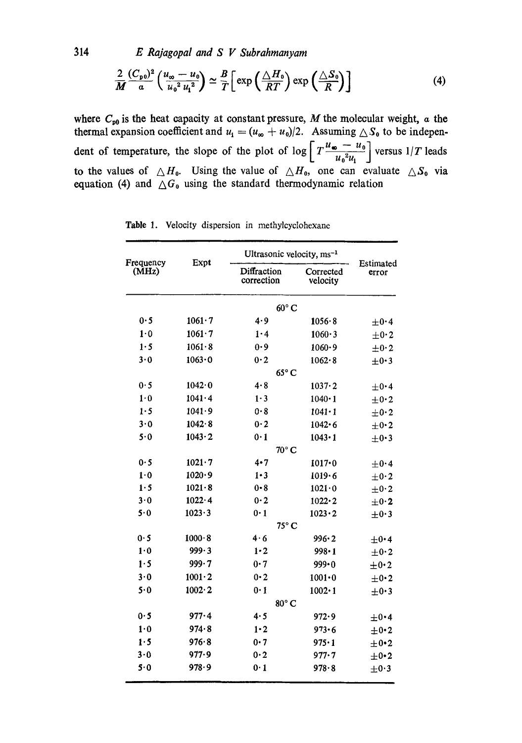314 *E Rajagopal and S V Subrahmanyam* 

$$
\frac{2}{M} \frac{(C_{\mathfrak{p}0})^2}{a} \left( \frac{u_{\infty} - u_0}{u_0^2 u_1^2} \right) \simeq \frac{B}{T} \left[ \exp \left( \frac{\Delta H_0}{RT} \right) \exp \left( \frac{\Delta S_0}{R} \right) \right] \tag{4}
$$

where  $C_{p0}$  is the heat capacity at constant pressure, M the molecular weight, a the thermal expansion coefficient and  $u_1 = (u_{\infty} + u_0)/2$ . Assuming  $\triangle S_0$  to be independent of temperature, the slope of the plot of  $\log \left[ T \frac{u_{\bullet} - u_0}{u_0^2 u_1} \right]$  versus  $1/T$  leads to the values of  $\triangle H_0$ . Using the value of  $\triangle H_0$ , one can evaluate  $\triangle S_0$  via equation (4) and  $\Delta G_0$  using the standard thermodynamic relation

| Frequency<br>(MHz) | Expt           | Ultrasonic velocity, ms <sup>-1</sup> |                       |                                     |  |  |
|--------------------|----------------|---------------------------------------|-----------------------|-------------------------------------|--|--|
|                    |                | Diffraction<br>correction             | Corrected<br>velocity | Estimated<br>error                  |  |  |
|                    |                | $60^{\circ}$ C                        |                       |                                     |  |  |
| 0.5                | $1061 \cdot 7$ | 4.9                                   | $1056 - 8$            | $\pm$ 0.4                           |  |  |
| 1.0                | $1061 \cdot 7$ | 1·4                                   | 1060.3                | $+0.2$                              |  |  |
| 1.5                | $1061 - 8$     | 0.9                                   | 1060.9                | $\pm 0.2$                           |  |  |
| 3.0                | 1063.0         | 0.2                                   | 1062.8                | $\pm 0.3$                           |  |  |
|                    |                | 65° C                                 |                       |                                     |  |  |
| 0.5                | $1042 \cdot 0$ | 4.8                                   | $1037 \cdot 2$        | $\pm$ 0.4                           |  |  |
| $1\cdot 0$         | 1041.4         | 1.3                                   | $1040 \cdot 1$        | $\pm$ 0.2                           |  |  |
| 1.5                | 1041.9         | 0.8                                   | $1041 - 1$            | $\pm$ 0.2                           |  |  |
| 3.0                | $1042 \cdot 8$ | 0.2                                   | $1042 \cdot 6$        | $\pm$ 0.2                           |  |  |
| 5.0                | $1043 \cdot 2$ | 0.1                                   | $1043 \cdot 1$        | $\pm$ 0.3                           |  |  |
|                    | $70^{\circ}$ C |                                       |                       |                                     |  |  |
| 0.5                | $1021 - 7$     | 4.7                                   | $1017 - 0$            | $+0.4$                              |  |  |
| 1.0                | 1020.9         | $1 \cdot 3$                           | 1019.6                | $\pm 0.2$                           |  |  |
| 1.5                | $1021 - 8$     | $0 - 8$                               | $1021 - 0$            | $\pm$ 0.2                           |  |  |
| 3.0                | $1022 \cdot 4$ | 0.2                                   | $1022 \cdot 2$        | $\pm 0.2$                           |  |  |
| 5.0                | 1023.3         | 0.1                                   | $1023 \cdot 2$        | $\pm 0.3$                           |  |  |
|                    | $75^{\circ}$ C |                                       |                       |                                     |  |  |
| 0.5                | 1000.8         | 4.6                                   | 996.2                 | $\pm$ 0.4                           |  |  |
| 1.0                | 999.3          | $1-2$                                 | $998 \cdot 1$         | $\pm$ 0.2                           |  |  |
| 1.5                | 999.7          | 0.7                                   | $999 \cdot 0$         | $\pm 0.2$                           |  |  |
| 3.0                | $1001 - 2$     | 0.2                                   | $1001 - 0$            | $\pm$ 0.2                           |  |  |
| 5.0                | $1002 \cdot 2$ | 0.1                                   | $1002 \cdot 1$        | $\pm$ 0.3                           |  |  |
|                    | 80° C          |                                       |                       |                                     |  |  |
| 0.5                | 977-4          | 4.5                                   | 972.9                 | $\pm$ 0.4                           |  |  |
| 1.0                | 974.8          | 1.2                                   | 973.6                 | $\pm$ 0.2                           |  |  |
| 1.5                | 976.8          | 0·7                                   | $975 \cdot 1$         |                                     |  |  |
| 3.0                | 977.9          | 0·2                                   | $977 - 7$             |                                     |  |  |
| 5.0                | 978.9          | 0.1                                   | 978.8                 |                                     |  |  |
|                    |                |                                       |                       | $\pm$ 0.2<br>$\pm$ 0.2<br>$\pm$ 0.3 |  |  |

Table 1. Velocity dispersion in methylcyclohexane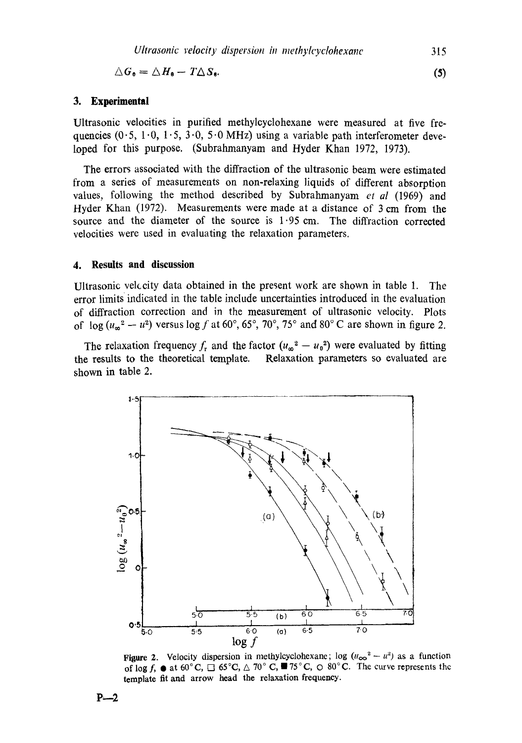$$
\triangle G_{\mathbf{0}} = \triangle H_{\mathbf{0}} - T\triangle S_{\mathbf{0}}.\tag{5}
$$

#### **3. Experimental**

Ultrasonic velocities in purified methylcyclohexane were measured at five frequencies ( $0.5$ ,  $1.0$ ,  $1.5$ ,  $3.0$ ,  $5.0$  MHz) using a variable path interferometer developed for this purpose. (Subrahmanyam and Hyder Khan 1972, 1973).

The errors associated with the diffraction of the ultrasonic beam were estimated from a series of measurements on non-relaxing liquids of different absorption values, following the method described by Subrahmanyam *et al* (1969) and Hyder Khan (1972). Measurements were made at a distance of 3 cm from the source and the diameter of the source is 1.95 cm. The diffraction corrected velocities were used in evaluating the relaxation parameters.

## **4. Results and discussion**

Ultrasonic velocity data obtained in the present work are shown in table 1. The error limits indicated in the table include uncertainties introduced in the evaluation of diffraction correction and in the measurement of ultrasonic velocity. Plots of  $\log (u_{\infty}^2 - u^2)$  versus  $\log f$  at 60°, 65°, 70°, 75° and 80° C are shown in figure 2.

The relaxation frequency  $f_r$  and the factor  $(u_{\infty}^2 - u_0^2)$  were evaluated by fitting the results to the theoretical template. Relaxation parameters so evaluated are shown in table 2.



Figure 2. Velocity dispersion in methylcyclohexane; log  $(u_{\infty}^2 - u^2)$  as a function of log f,  $\bullet$  at 60°C,  $\Box$  65°C,  $\triangle$  70°C,  $\Box$  75°C,  $\odot$  80°C. The curve represents the template fit and arrow head the relaxation frequency.

**P~--2**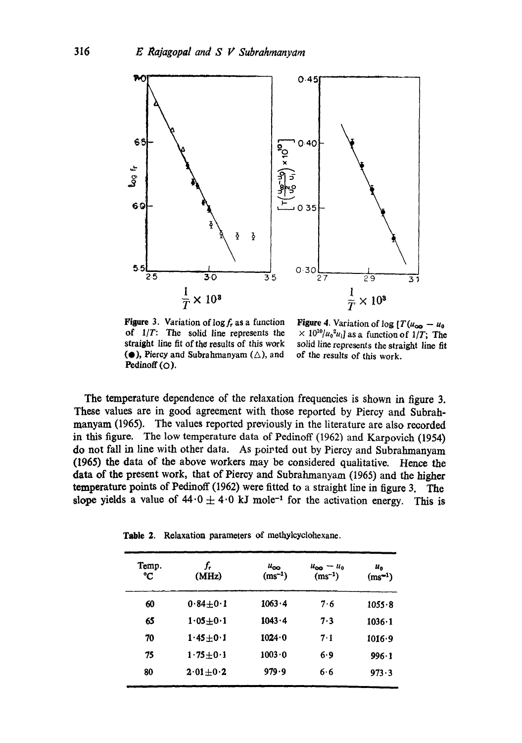

**Figure** 3. Variation of  $\log f_r$  as a function of *l/T:* The solid line represents the straight line fit of the results of this work ( $\bullet$ ), Piercy and Subrahmanyam ( $\triangle$ ), and Pedinoff  $(O)$ .

Figure 4. Variation of log  $[T(u_{\infty} - u_0$  $\times 10^{10}/u_0^2u_i$  as a function of 1/T; The solid line represents the straight line fit of the results of this work.

The temperature dependence of the relaxation frequencies is shown in figure 3. These values are in good agreement with those reported by Piercy and Subrahmanyam (1965). The values reported previously in the literature are also recorded in this figure. The low temperature data of Pedinoff (1962) and Karpovieh (1954) do not fall in line with other data. As pointed out by Piercy and Subrahmanyam (1965) the data of the above workers may be considered qualitative. Hence the data of the present work, that of Piercy and Subrahmanyam (1965) and the higher temperature points of Pedinoff (1962) were fitted to a straight line in figure 3. The slope yields a value of  $44.0 \pm 4.0$  kJ mole<sup>-1</sup> for the activation energy. This is

**Table** 2. Relaxation parameters of methylcyclohexane.

| Temp.<br>°C | (MHz)          | $u_{\infty}$<br>$(ms^{-1})$ | $u_{\infty} - u_0$<br>$(ms^{-1})$ | $u_{o}$<br>$(ms^{-1})$ |
|-------------|----------------|-----------------------------|-----------------------------------|------------------------|
| 60          | $0.84 + 0.1$   | $1063 \cdot 4$              | 7.6                               | 1055.8                 |
| 65          | $1.05 + 0.1$   | $1043 \cdot 4$              | 7.3                               | $1036 \cdot 1$         |
| 70          | $1.45 + 0.1$   | $1024 \cdot 0$              | 7.1                               | 1016.9                 |
| 75          | $1.75 \pm 0.1$ | $1003 \cdot 0$              | 6.9                               | $996 \cdot 1$          |
| 80          | $2.01 + 0.2$   | 979.9                       | 6·6                               | 973.3                  |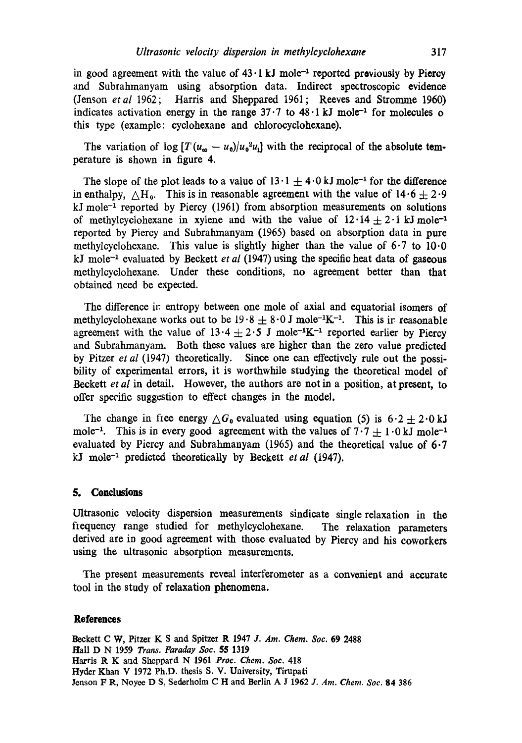in good agreement with the value of  $43 \cdot 1 \text{ kJ}$  mole<sup>-1</sup> reported previously by Piercy and Subrahmanyam using absorption data. Indirect spectroscopic evidence (Jenson *etat* 1962; Harris and Sheppared 1961; Reeves and Stromrne 1960) indicates activation energy in the range  $37 \cdot 7$  to  $48 \cdot 1 \text{ kJ}$  mole<sup>-1</sup> for molecules o this type (example: cydohexane and chlorocyclohexane).

The variation of  $\log [T(u_{\infty} - u_0)/u_0^2 u_0]$  with the reciprocal of the absolute temperature is shown in figure 4.

The slope of the plot leads to a value of  $13 \cdot 1 + 4 \cdot 0$  kJ mole<sup>-1</sup> for the difference in enthalpy,  $\triangle H_0$ . This is in reasonable agreement with the value of  $14.6 + 2.9$  $kJ$  mole<sup> $-1$ </sup> reported by Piercy (1961) from absorption measurements on solutions of methylcyclohexane in xylene and with the value of  $12.14 \pm 2.1$  kJ mole<sup>-1</sup> reported by Piercy and Subrahmanyam (1965) based on absorption data in pure methylcyclohexane. This value is slightly higher than the value of  $6.7$  to  $10.0$ kJ mole<sup> $-1$ </sup> evaluated by Beckett *et al* (1947) using the specific heat data of gaseous methylcyclohexane. Under these conditions, no agreement better than that obtained need be expected.

The difference ir entropy between one mole of axial and equatorial isomers of methylcyclohexane works out to be  $19.8 + 8.0$  J mole<sup>-1</sup>K<sup>-1</sup>. This is ir reasonable agreement with the value of  $13.4 \pm 2.5$  J mole<sup>-1</sup>K<sup>-1</sup> reported earlier by Piercy and Subrahmanyam. Both these values are higher than the zero value predicted by Pitzer *et al* (1947) theoretically. Since one can effectively rule out the possibility of experimental errors, it is worthwhile studying the theoretical model of Beckett *et al* in detail. However, the authors are not in a position, at present, to offer specific suggestion to effect changes in the model.

The change in free energy  $\triangle G_0$  evaluated using equation (5) is  $6.2 \pm 2.0$  kJ mole<sup>-1</sup>. This is in every good agreement with the values of  $7.7 \pm 1.0$  kJ mole<sup>-1</sup> evaluated by Piercy and Subrahmanyam (1965) and the theoretical value of 6.7 kJ mole<sup>-1</sup> predicted theoretically by Beckett *et al* (1947).

## **5. Conclusions**

Ultrasonic velocity dispersion measurements sindicate single relaxation in the frequency range studied for methylcyclohexane. The relaxation parameters derived are in good agreement with those evaluated by Piercy and his coworkers using the ultrasonic absorption measurements.

The present measurements reveal interferometer as a convenient and accurate tool in the study of relaxation phenomena.

## **References**

Beekett C W, Pitzer K S and Spitzer R 1947 *J. Am. Chem. Soc.* 69 2488 Hall D N 1959 *Trans. Faraday 8oc. \$5* 1319 Haxris R K and Sheppard N 1961 *Prec. Chem. Soc.* 418 Hyder Khan V 1972 Ph.D. thesis S. V. University, Tirupati Jenson F R, Noyee D S, Sederholm C H and Berlin A J 1962 *J. Am. Chem. Soc.* **84** 386